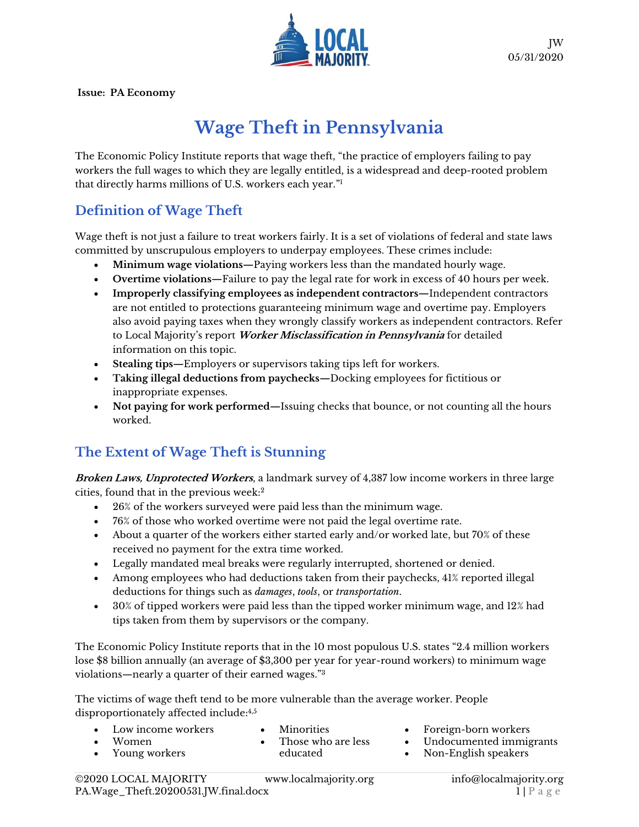

**Issue: PA Economy**

# **Wage Theft in Pennsylvania**

The Economic Policy Institute reports that wage theft, "the practice of employers failing to pay workers the full wages to which they are legally entitled, is a widespread and deep-rooted problem that directly harms millions of U.S. workers each year." 1

### **Definition of Wage Theft**

Wage theft is not just a failure to treat workers fairly. It is a set of violations of federal and state laws committed by unscrupulous employers to underpay employees. These crimes include:

- **Minimum wage violations—**Paying workers less than the mandated hourly wage.
- **Overtime violations—**Failure to pay the legal rate for work in excess of 40 hours per week.
- **Improperly classifying employees as independent contractors—**Independent contractors are not entitled to protections guaranteeing minimum wage and overtime pay. Employers also avoid paying taxes when they wrongly classify workers as independent contractors. Refer to Local Majority's report **Worker Misclassification in Pennsylvania** for detailed information on this topic.
- **Stealing tips—**Employers or supervisors taking tips left for workers.
- **Taking illegal deductions from paychecks—**Docking employees for fictitious or inappropriate expenses.
- **Not paying for work performed—**Issuing checks that bounce, or not counting all the hours worked.

## **The Extent of Wage Theft is Stunning**

**Broken Laws, Unprotected Workers**, a landmark survey of 4,387 low income workers in three large cities, found that in the previous week:<sup>2</sup>

- 26% of the workers surveyed were paid less than the minimum wage.
- 76% of those who worked overtime were not paid the legal overtime rate.
- About a quarter of the workers either started early and/or worked late, but 70% of these received no payment for the extra time worked.
- Legally mandated meal breaks were regularly interrupted, shortened or denied.
- Among employees who had deductions taken from their paychecks, 41% reported illegal deductions for things such as *damages*, *tools*, or *transportation*.
- 30% of tipped workers were paid less than the tipped worker minimum wage, and 12% had tips taken from them by supervisors or the company.

The Economic Policy Institute reports that in the 10 most populous U.S. states "2.4 million workers lose \$8 billion annually (an average of \$3,300 per year for year-round workers) to minimum wage violations—nearly a quarter of their earned wages."<sup>3</sup>

The victims of wage theft tend to be more vulnerable than the average worker. People disproportionately affected include: 4,5

- Low income workers
- **Minorities**
- Women • Young workers
- Those who are less educated
- Foreign-born workers
- Undocumented immigrants • Non-English speakers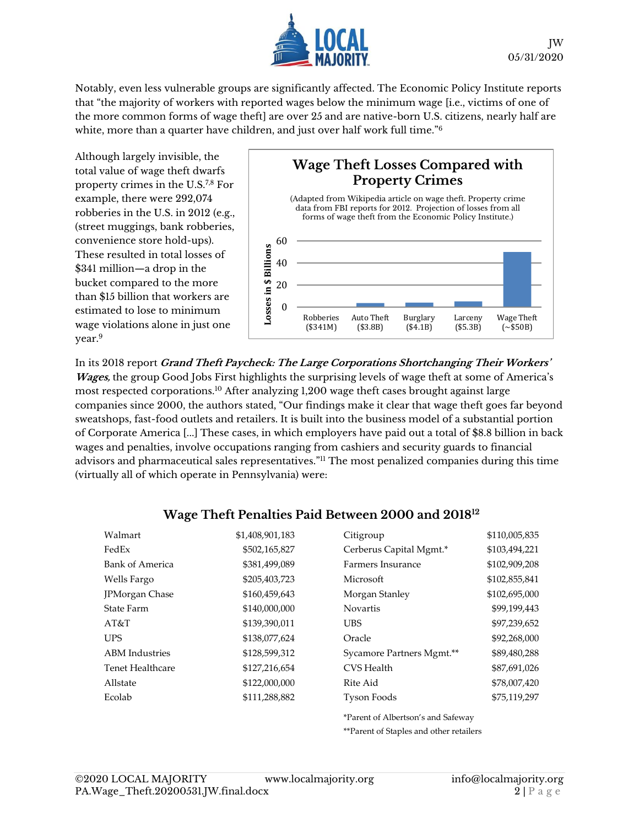

Notably, even less vulnerable groups are significantly affected. The Economic Policy Institute reports that "the majority of workers with reported wages below the minimum wage [i.e., victims of one of the more common forms of wage theft] are over 25 and are native-born U.S. citizens, nearly half are white, more than a quarter have children, and just over half work full time."<sup>6</sup>

Although largely invisible, the total value of wage theft dwarfs property crimes in the U.S.7,8 For example, there were 292,074 robberies in the U.S. in 2012 (e.g., (street muggings, bank robberies, convenience store hold-ups). These resulted in total losses of \$341 million—a drop in the bucket compared to the more than \$15 billion that workers are estimated to lose to minimum wage violations alone in just one year.<sup>9</sup>

#### **Wage Theft Losses Compared with Property Crimes** (Adapted from Wikipedia article on wage theft. Property crime data from FBI reports for 2012. Projection of losses from all forms of wage theft from the Economic Policy Institute.)60 Losses in \$ Billions **Losses in \$ Billions** 40 20

Burglary (\$4.1B)

Larceny (\$5.3B)

Wage Theft (~\$50B)

In its 2018 report **Grand Theft Paycheck: The Large Corporations Shortchanging Their Workers' Wages,** the group Good Jobs First highlights the surprising levels of wage theft at some of America's most respected corporations.<sup>10</sup> After analyzing 1,200 wage theft cases brought against large companies since 2000, the authors stated, "Our findings make it clear that wage theft goes far beyond sweatshops, fast-food outlets and retailers. It is built into the business model of a substantial portion of Corporate America [...] These cases, in which employers have paid out a total of \$8.8 billion in back wages and penalties, involve occupations ranging from cashiers and security guards to financial advisors and pharmaceutical sales representatives."<sup>11</sup> The most penalized companies during this time (virtually all of which operate in Pennsylvania) were:

Robberies (\$341M)

Auto Theft (\$3.8B)

 $\theta$ 

#### **Wage Theft Penalties Paid Between 2000 and 2018<sup>12</sup>**

| Walmart               | \$1,408,901,183 | Citigroup                                | \$110,005,835 |
|-----------------------|-----------------|------------------------------------------|---------------|
| FedEx                 | \$502,165,827   | Cerberus Capital Mgmt.*<br>\$103,494,221 |               |
| Bank of America       | \$381,499,089   | Farmers Insurance<br>\$102,909,208       |               |
| Wells Fargo           | \$205,403,723   | Microsoft                                | \$102,855,841 |
| <b>IPMorgan Chase</b> | \$160,459,643   | Morgan Stanley                           | \$102,695,000 |
| <b>State Farm</b>     | \$140,000,000   | <b>Novartis</b>                          | \$99,199,443  |
| AT&T                  | \$139,390,011   | <b>UBS</b>                               | \$97,239,652  |
| <b>UPS</b>            | \$138,077,624   | Oracle                                   | \$92,268,000  |
| <b>ABM</b> Industries | \$128,599,312   | Sycamore Partners Mgmt.**                | \$89,480,288  |
| Tenet Healthcare      | \$127,216,654   | CVS Health                               | \$87,691,026  |
| Allstate              | \$122,000,000   | Rite Aid                                 | \$78,007,420  |
| Ecolab                | \$111,288,882   | Tyson Foods                              | \$75,119,297  |
|                       |                 | *Parent of Albertson's and Safeway       |               |

\*\*Parent of Staples and other retailers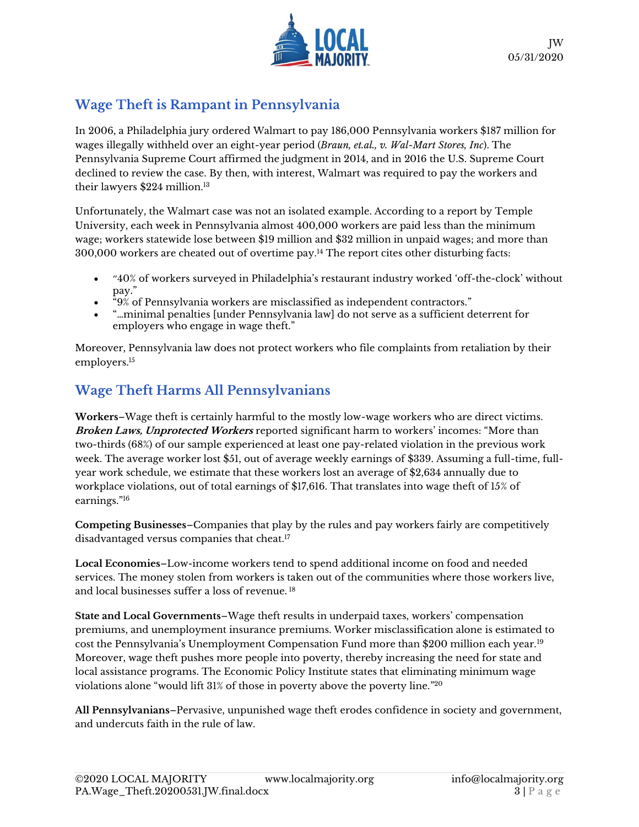

## **Wage Theft is Rampant in Pennsylvania**

In 2006, a Philadelphia jury ordered Walmart to pay 186,000 Pennsylvania workers \$187 million for wages illegally withheld over an eight-year period (*Braun, et.al., v. Wal-Mart Stores, Inc*). The Pennsylvania Supreme Court affirmed the judgment in 2014, and in 2016 the U.S. Supreme Court declined to review the case. By then, with interest, Walmart was required to pay the workers and their lawyers \$224 million.<sup>13</sup>

Unfortunately, the Walmart case was not an isolated example. According to a report by Temple University, each week in Pennsylvania almost 400,000 workers are paid less than the minimum wage; workers statewide lose between \$19 million and \$32 million in unpaid wages; and more than 300,000 workers are cheated out of overtime pay.<sup>14</sup> The report cites other disturbing facts:

- "40% of workers surveyed in Philadelphia's restaurant industry worked 'off-the-clock' without pay."
- $\mathrm{``}9\%$  of Pennsylvania workers are misclassified as independent contractors."
- "…minimal penalties [under Pennsylvania law] do not serve as a sufficient deterrent for employers who engage in wage theft."

Moreover, Pennsylvania law does not protect workers who file complaints from retaliation by their employers. 15

# **Wage Theft Harms All Pennsylvanians**

**Workers**–Wage theft is certainly harmful to the mostly low-wage workers who are direct victims. **Broken Laws, Unprotected Workers** reported significant harm to workers' incomes: "More than two-thirds (68%) of our sample experienced at least one pay-related violation in the previous work week. The average worker lost \$51, out of average weekly earnings of \$339. Assuming a full-time, fullyear work schedule, we estimate that these workers lost an average of \$2,634 annually due to workplace violations, out of total earnings of \$17,616. That translates into wage theft of 15% of earnings."<sup>16</sup>

**Competing Businesses**–Companies that play by the rules and pay workers fairly are competitively disadvantaged versus companies that cheat. 17

**Local Economies**–Low-income workers tend to spend additional income on food and needed services. The money stolen from workers is taken out of the communities where those workers live, and local businesses suffer a loss of revenue. <sup>18</sup>

**State and Local Governments**–Wage theft results in underpaid taxes, workers' compensation premiums, and unemployment insurance premiums. Worker misclassification alone is estimated to cost the Pennsylvania's Unemployment Compensation Fund more than \$200 million each year.<sup>19</sup> Moreover, wage theft pushes more people into poverty, thereby increasing the need for state and local assistance programs. The Economic Policy Institute states that eliminating minimum wage violations alone "would lift  $31\%$  of those in poverty above the poverty line." $^{20}$ 

**All Pennsylvanians**–Pervasive, unpunished wage theft erodes confidence in society and government, and undercuts faith in the rule of law.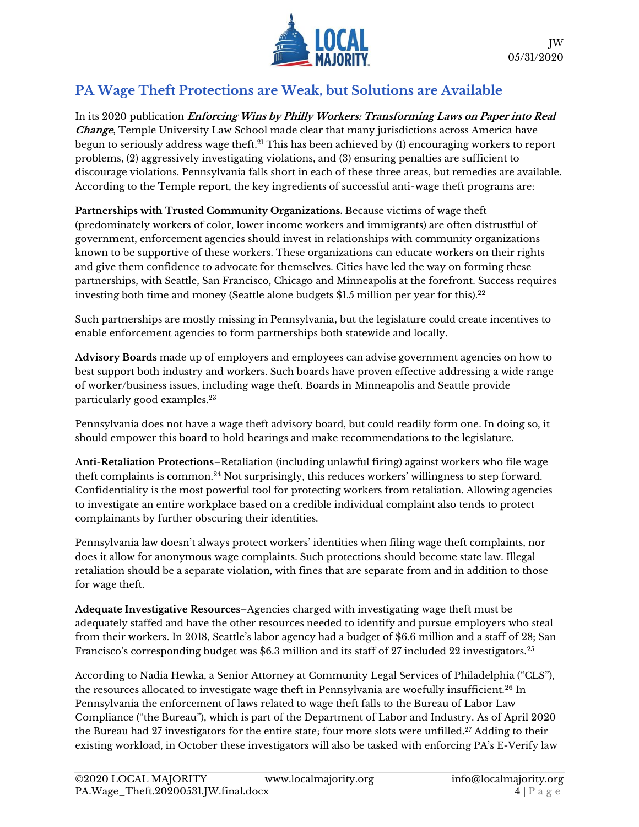

### **PA Wage Theft Protections are Weak, but Solutions are Available**

In its 2020 publication **Enforcing Wins by Philly Workers: Transforming Laws on Paper into Real Change**, Temple University Law School made clear that many jurisdictions across America have begun to seriously address wage theft.<sup>21</sup> This has been achieved by (1) encouraging workers to report problems, (2) aggressively investigating violations, and (3) ensuring penalties are sufficient to discourage violations. Pennsylvania falls short in each of these three areas, but remedies are available. According to the Temple report, the key ingredients of successful anti-wage theft programs are:

**Partnerships with Trusted Community Organizations.** Because victims of wage theft (predominately workers of color, lower income workers and immigrants) are often distrustful of government, enforcement agencies should invest in relationships with community organizations known to be supportive of these workers. These organizations can educate workers on their rights and give them confidence to advocate for themselves. Cities have led the way on forming these partnerships, with Seattle, San Francisco, Chicago and Minneapolis at the forefront. Success requires investing both time and money (Seattle alone budgets \$1.5 million per year for this). $^{22}$ 

Such partnerships are mostly missing in Pennsylvania, but the legislature could create incentives to enable enforcement agencies to form partnerships both statewide and locally.

**Advisory Boards** made up of employers and employees can advise government agencies on how to best support both industry and workers. Such boards have proven effective addressing a wide range of worker/business issues, including wage theft. Boards in Minneapolis and Seattle provide particularly good examples.<sup>23</sup>

Pennsylvania does not have a wage theft advisory board, but could readily form one. In doing so, it should empower this board to hold hearings and make recommendations to the legislature.

**Anti-Retaliation Protections**–Retaliation (including unlawful firing) against workers who file wage theft complaints is common.<sup>24</sup> Not surprisingly, this reduces workers' willingness to step forward. Confidentiality is the most powerful tool for protecting workers from retaliation. Allowing agencies to investigate an entire workplace based on a credible individual complaint also tends to protect complainants by further obscuring their identities.

Pennsylvania law doesn't always protect workers' identities when filing wage theft complaints, nor does it allow for anonymous wage complaints. Such protections should become state law. Illegal retaliation should be a separate violation, with fines that are separate from and in addition to those for wage theft.

**Adequate Investigative Resources**–Agencies charged with investigating wage theft must be adequately staffed and have the other resources needed to identify and pursue employers who steal from their workers. In 2018, Seattle's labor agency had a budget of \$6.6 million and a staff of 28; San Francisco's corresponding budget was \$6.3 million and its staff of 27 included 22 investigators.<sup>25</sup>

According to Nadia Hewka, a Senior Attorney at Community Legal Services of Philadelphia ("CLS"), the resources allocated to investigate wage theft in Pennsylvania are woefully insufficient.<sup>26</sup> In Pennsylvania the enforcement of laws related to wage theft falls to the Bureau of Labor Law Compliance ("the Bureau"), which is part of the Department of Labor and Industry. As of April 2020 the Bureau had 27 investigators for the entire state; four more slots were unfilled. <sup>27</sup> Adding to their existing workload, in October these investigators will also be tasked with enforcing PA's E-Verify law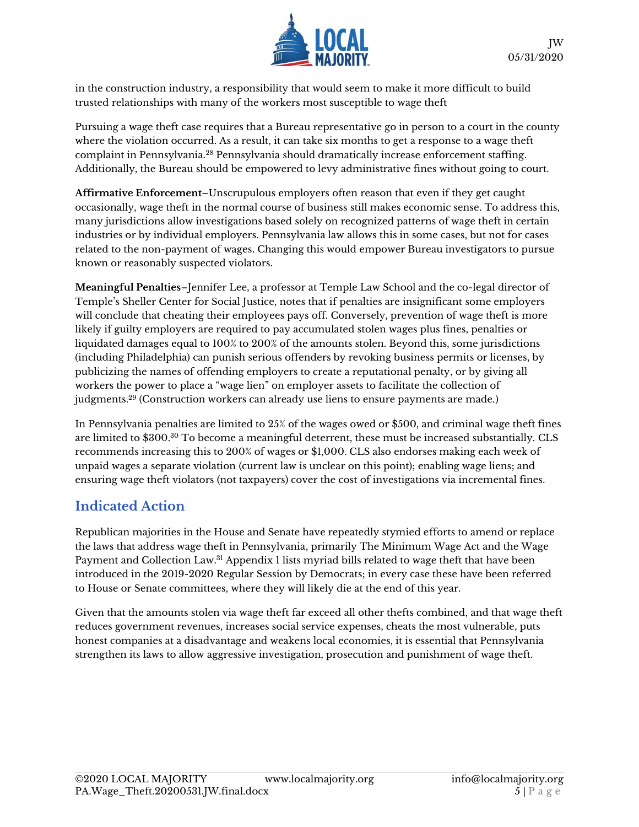

in the construction industry, a responsibility that would seem to make it more difficult to build trusted relationships with many of the workers most susceptible to wage theft

Pursuing a wage theft case requires that a Bureau representative go in person to a court in the county where the violation occurred. As a result, it can take six months to get a response to a wage theft complaint in Pennsylvania.<sup>28</sup> Pennsylvania should dramatically increase enforcement staffing. Additionally, the Bureau should be empowered to levy administrative fines without going to court.

**Affirmative Enforcement**–Unscrupulous employers often reason that even if they get caught occasionally, wage theft in the normal course of business still makes economic sense. To address this, many jurisdictions allow investigations based solely on recognized patterns of wage theft in certain industries or by individual employers. Pennsylvania law allows this in some cases, but not for cases related to the non-payment of wages. Changing this would empower Bureau investigators to pursue known or reasonably suspected violators.

**Meaningful Penalties**–Jennifer Lee, a professor at Temple Law School and the co-legal director of Temple's Sheller Center for Social Justice, notes that if penalties are insignificant some employers will conclude that cheating their employees pays off. Conversely, prevention of wage theft is more likely if guilty employers are required to pay accumulated stolen wages plus fines, penalties or liquidated damages equal to 100% to 200% of the amounts stolen. Beyond this, some jurisdictions (including Philadelphia) can punish serious offenders by revoking business permits or licenses, by publicizing the names of offending employers to create a reputational penalty, or by giving all workers the power to place a "wage lien" on employer assets to facilitate the collection of judgments.<sup>29</sup> (Construction workers can already use liens to ensure payments are made.)

In Pennsylvania penalties are limited to 25% of the wages owed or \$500, and criminal wage theft fines are limited to \$300.<sup>30</sup> To become a meaningful deterrent, these must be increased substantially. CLS recommends increasing this to 200% of wages or \$1,000. CLS also endorses making each week of unpaid wages a separate violation (current law is unclear on this point); enabling wage liens; and ensuring wage theft violators (not taxpayers) cover the cost of investigations via incremental fines.

#### **Indicated Action**

Republican majorities in the House and Senate have repeatedly stymied efforts to amend or replace the laws that address wage theft in Pennsylvania, primarily The Minimum Wage Act and the Wage Payment and Collection Law. <sup>31</sup> Appendix 1 lists myriad bills related to wage theft that have been introduced in the 2019-2020 Regular Session by Democrats; in every case these have been referred to House or Senate committees, where they will likely die at the end of this year.

Given that the amounts stolen via wage theft far exceed all other thefts combined, and that wage theft reduces government revenues, increases social service expenses, cheats the most vulnerable, puts honest companies at a disadvantage and weakens local economies, it is essential that Pennsylvania strengthen its laws to allow aggressive investigation, prosecution and punishment of wage theft.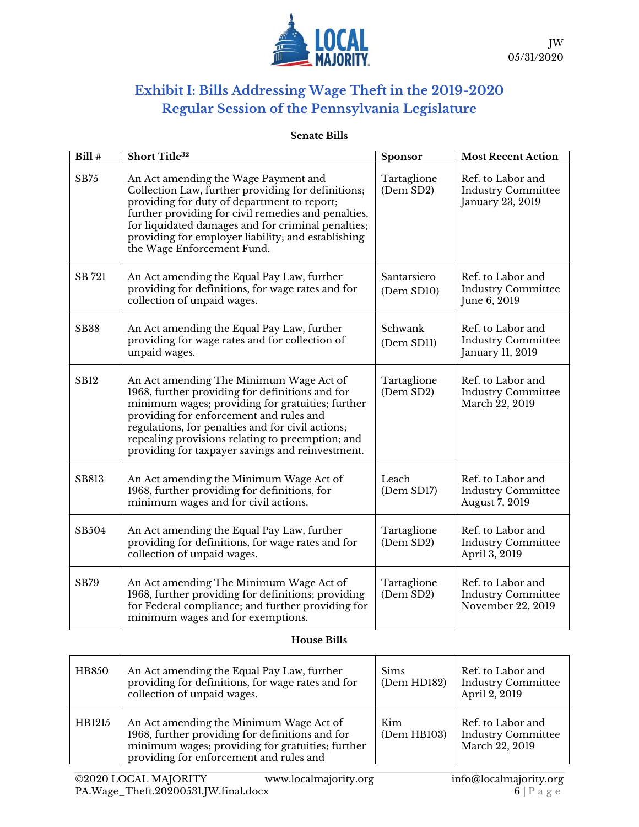

# **Exhibit I: Bills Addressing Wage Theft in the 2019-2020 Regular Session of the Pennsylvania Legislature**

#### **Senate Bills**

| Bill#        | Short Title <sup>32</sup>                                                                                                                                                                                                                                                                                                                              | Sponsor                   | <b>Most Recent Action</b>                                           |
|--------------|--------------------------------------------------------------------------------------------------------------------------------------------------------------------------------------------------------------------------------------------------------------------------------------------------------------------------------------------------------|---------------------------|---------------------------------------------------------------------|
| <b>SB75</b>  | An Act amending the Wage Payment and<br>Collection Law, further providing for definitions;<br>providing for duty of department to report;<br>further providing for civil remedies and penalties,<br>for liquidated damages and for criminal penalties;<br>providing for employer liability; and establishing<br>the Wage Enforcement Fund.             | Tartaglione<br>(Dem SD2)  | Ref. to Labor and<br><b>Industry Committee</b><br>January 23, 2019  |
| SB 721       | An Act amending the Equal Pay Law, further<br>providing for definitions, for wage rates and for<br>collection of unpaid wages.                                                                                                                                                                                                                         | Santarsiero<br>(Dem SD10) | Ref. to Labor and<br><b>Industry Committee</b><br>June 6, 2019      |
| <b>SB38</b>  | An Act amending the Equal Pay Law, further<br>providing for wage rates and for collection of<br>unpaid wages.                                                                                                                                                                                                                                          | Schwank<br>(Dem SD11)     | Ref. to Labor and<br><b>Industry Committee</b><br>January 11, 2019  |
| <b>SB12</b>  | An Act amending The Minimum Wage Act of<br>1968, further providing for definitions and for<br>minimum wages; providing for gratuities; further<br>providing for enforcement and rules and<br>regulations, for penalties and for civil actions;<br>repealing provisions relating to preemption; and<br>providing for taxpayer savings and reinvestment. | Tartaglione<br>(Dem SD2)  | Ref. to Labor and<br><b>Industry Committee</b><br>March 22, 2019    |
| <b>SB813</b> | An Act amending the Minimum Wage Act of<br>1968, further providing for definitions, for<br>minimum wages and for civil actions.                                                                                                                                                                                                                        | Leach<br>(Dem SD17)       | Ref. to Labor and<br><b>Industry Committee</b><br>August 7, 2019    |
| SB504        | An Act amending the Equal Pay Law, further<br>providing for definitions, for wage rates and for<br>collection of unpaid wages.                                                                                                                                                                                                                         | Tartaglione<br>(Dem SD2)  | Ref. to Labor and<br><b>Industry Committee</b><br>April 3, 2019     |
| <b>SB79</b>  | An Act amending The Minimum Wage Act of<br>1968, further providing for definitions; providing<br>for Federal compliance; and further providing for<br>minimum wages and for exemptions.                                                                                                                                                                | Tartaglione<br>(Dem SD2)  | Ref. to Labor and<br><b>Industry Committee</b><br>November 22, 2019 |

#### **House Bills**

| <b>HB850</b> | An Act amending the Equal Pay Law, further<br>providing for definitions, for wage rates and for<br>collection of unpaid wages.                                                            | <b>Sims</b><br>(Dem HD182) | Ref. to Labor and<br><b>Industry Committee</b><br>April 2, 2019  |
|--------------|-------------------------------------------------------------------------------------------------------------------------------------------------------------------------------------------|----------------------------|------------------------------------------------------------------|
| HB1215       | An Act amending the Minimum Wage Act of<br>1968, further providing for definitions and for<br>minimum wages; providing for gratuities; further<br>providing for enforcement and rules and | Kim<br>(Dem HB103)         | Ref. to Labor and<br><b>Industry Committee</b><br>March 22, 2019 |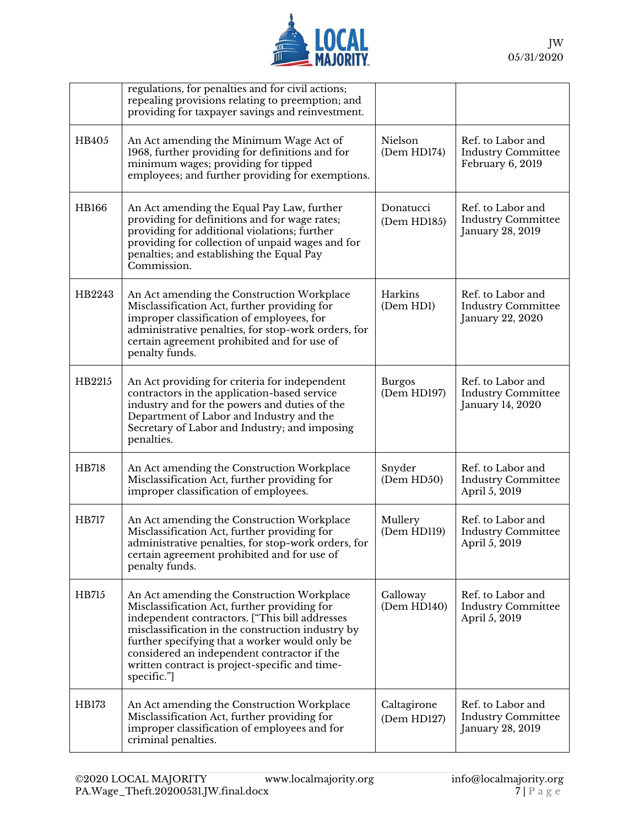

|              | regulations, for penalties and for civil actions;<br>repealing provisions relating to preemption; and<br>providing for taxpayer savings and reinvestment.                                                                                                                                                                                                           |                              |                                                                    |
|--------------|---------------------------------------------------------------------------------------------------------------------------------------------------------------------------------------------------------------------------------------------------------------------------------------------------------------------------------------------------------------------|------------------------------|--------------------------------------------------------------------|
| HB405        | An Act amending the Minimum Wage Act of<br>1968, further providing for definitions and for<br>minimum wages; providing for tipped<br>employees; and further providing for exemptions.                                                                                                                                                                               | Nielson<br>(Dem HD174)       | Ref. to Labor and<br><b>Industry Committee</b><br>February 6, 2019 |
| <b>HB166</b> | An Act amending the Equal Pay Law, further<br>providing for definitions and for wage rates;<br>providing for additional violations; further<br>providing for collection of unpaid wages and for<br>penalties; and establishing the Equal Pay<br>Commission.                                                                                                         | Donatucci<br>(Dem HD185)     | Ref. to Labor and<br><b>Industry Committee</b><br>January 28, 2019 |
| HB2243       | An Act amending the Construction Workplace<br>Misclassification Act, further providing for<br>improper classification of employees, for<br>administrative penalties, for stop-work orders, for<br>certain agreement prohibited and for use of<br>penalty funds.                                                                                                     | Harkins<br>(Dem HD1)         | Ref. to Labor and<br><b>Industry Committee</b><br>January 22, 2020 |
| HB2215       | An Act providing for criteria for independent<br>contractors in the application-based service<br>industry and for the powers and duties of the<br>Department of Labor and Industry and the<br>Secretary of Labor and Industry; and imposing<br>penalties.                                                                                                           | <b>Burgos</b><br>(Dem HD197) | Ref. to Labor and<br><b>Industry Committee</b><br>January 14, 2020 |
| HB718        | An Act amending the Construction Workplace<br>Misclassification Act, further providing for<br>improper classification of employees.                                                                                                                                                                                                                                 | Snyder<br>(Dem HD50)         | Ref. to Labor and<br><b>Industry Committee</b><br>April 5, 2019    |
| HB717        | An Act amending the Construction Workplace<br>Misclassification Act, further providing for<br>administrative penalties, for stop-work orders, for<br>certain agreement prohibited and for use of<br>penalty funds.                                                                                                                                                  | Mullery<br>(Dem HD119)       | Ref. to Labor and<br><b>Industry Committee</b><br>April 5, 2019    |
| HB715        | An Act amending the Construction Workplace<br>Misclassification Act, further providing for<br>independent contractors. ["This bill addresses<br>misclassification in the construction industry by<br>further specifying that a worker would only be<br>considered an independent contractor if the<br>written contract is project-specific and time-<br>specific."] | Galloway<br>(Dem HD140)      | Ref. to Labor and<br><b>Industry Committee</b><br>April 5, 2019    |
| HB173        | An Act amending the Construction Workplace<br>Misclassification Act, further providing for<br>improper classification of employees and for<br>criminal penalties.                                                                                                                                                                                                   | Caltagirone<br>(Dem HD127)   | Ref. to Labor and<br><b>Industry Committee</b><br>January 28, 2019 |